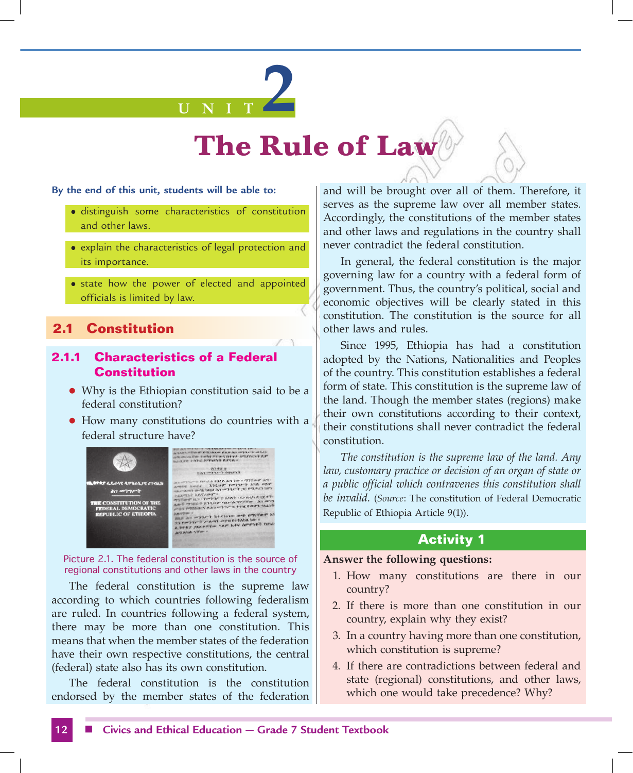

#### **By the end of this unit, students will be able to:**

- distinguish some characteristics of constitution and other laws.
- explain the characteristics of legal protection and its importance.
- state how the power of elected and appointed officials is limited by law.

## **2.1 Constitution**

#### **2.1.1 Characteristics of a Federal Constitution**

- Why is the Ethiopian constitution said to be a federal constitution?
- $\bullet$  How many constitutions do countries with a federal structure have?



Picture 2.1. The federal constitution is the source of regional constitutions and other laws in the country

The federal constitution is the supreme law according to which countries following federalism are ruled. In countries following a federal system, there may be more than one constitution. This means that when the member states of the federation have their own respective constitutions, the central (federal) state also has its own constitution.

The federal constitution is the constitution endorsed by the member states of the federation and will be brought over all of them. Therefore, it serves as the supreme law over all member states. Accordingly, the constitutions of the member states and other laws and regulations in the country shall never contradict the federal constitution.

In general, the federal constitution is the major governing law for a country with a federal form of government. Thus, the country's political, social and economic objectives will be clearly stated in this constitution. The constitution is the source for all other laws and rules.

Since 1995, Ethiopia has had a constitution adopted by the Nations, Nationalities and Peoples of the country. This constitution establishes a federal form of state. This constitution is the supreme law of the land. Though the member states (regions) make their own constitutions according to their context, their constitutions shall never contradict the federal constitution.

*The constitution is the supreme law of the land. Any law, customary practice or decision of an organ of state or a public official which contravenes this constitution shall be invalid*. (*Source*: The constitution of Federal Democratic Republic of Ethiopia Article 9(1)).

#### **Activity 1**

#### **Answer the following questions:**

- 1. How many constitutions are there in our country?
- 2. If there is more than one constitution in our country, explain why they exist?
- 3. In a country having more than one constitution, which constitution is supreme?
- 4. If there are contradictions between federal and state (regional) constitutions, and other laws, which one would take precedence? Why?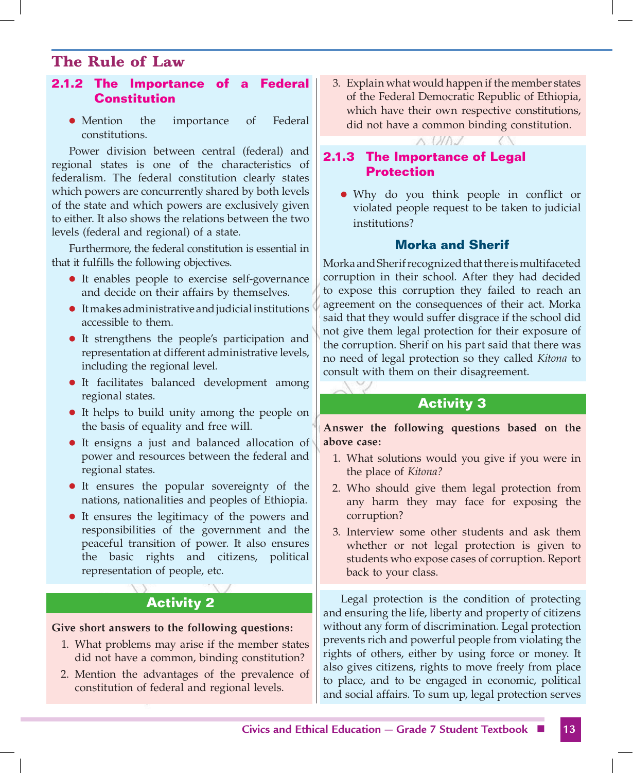#### **2.1.2 The Importance of a Federal Constitution**

• Mention the importance of Federal constitutions.

Power division between central (federal) and regional states is one of the characteristics of federalism. The federal constitution clearly states which powers are concurrently shared by both levels of the state and which powers are exclusively given to either. It also shows the relations between the two levels (federal and regional) of a state.

Furthermore, the federal constitution is essential in that it fulfills the following objectives.

- It enables people to exercise self-governance and decide on their affairs by themselves.
- $\bullet$  It makes administrative and judicial institutions accessible to them.
- It strengthens the people's participation and representation at different administrative levels, including the regional level.
- It facilitates balanced development among regional states.
- It helps to build unity among the people on the basis of equality and free will.
- It ensigns a just and balanced allocation of power and resources between the federal and regional states.
- It ensures the popular sovereignty of the nations, nationalities and peoples of Ethiopia.
- It ensures the legitimacy of the powers and responsibilities of the government and the peaceful transition of power. It also ensures the basic rights and citizens, political representation of people, etc.

# **Activity 2**

#### **Give short answers to the following questions:**

- 1. What problems may arise if the member states did not have a common, binding constitution?
- 2. Mention the advantages of the prevalence of constitution of federal and regional levels.

3. Explain what would happen if the member states of the Federal Democratic Republic of Ethiopia, which have their own respective constitutions, did not have a common binding constitution.

VINJ

## **2.1.3 The Importance of Legal Protection**

• Why do you think people in conflict or violated people request to be taken to judicial institutions?

#### **Morka and Sherif**

Morka and Sherif recognized that there is multifaceted corruption in their school. After they had decided to expose this corruption they failed to reach an agreement on the consequences of their act. Morka said that they would suffer disgrace if the school did not give them legal protection for their exposure of the corruption. Sherif on his part said that there was no need of legal protection so they called *Kitona* to consult with them on their disagreement.

#### **Activity 3**

**Answer the following questions based on the above case:**

- 1. What solutions would you give if you were in the place of *Kitona?*
- 2. Who should give them legal protection from any harm they may face for exposing the corruption?
- 3. Interview some other students and ask them whether or not legal protection is given to students who expose cases of corruption. Report back to your class.

Legal protection is the condition of protecting and ensuring the life, liberty and property of citizens without any form of discrimination. Legal protection prevents rich and powerful people from violating the rights of others, either by using force or money. It also gives citizens, rights to move freely from place to place, and to be engaged in economic, political and social affairs. To sum up, legal protection serves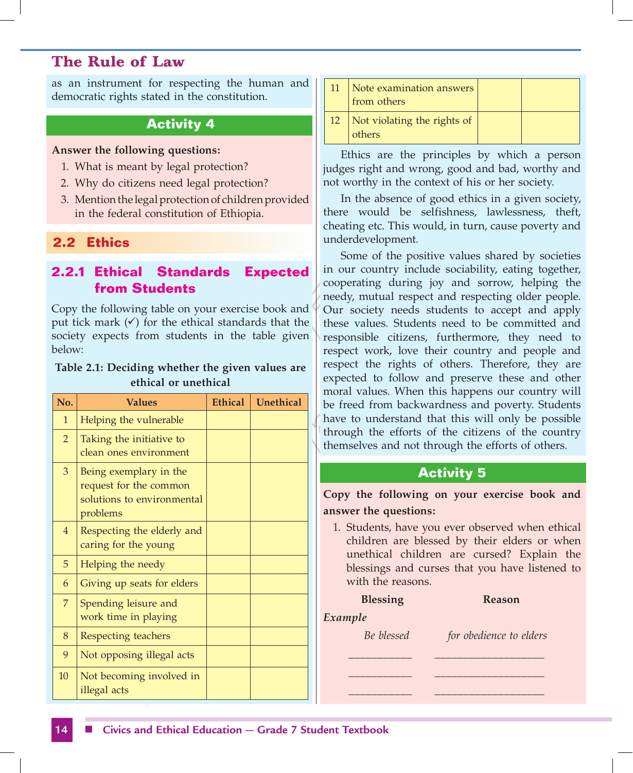as an instrument for respecting the human and democratic rights stated in the constitution.

## **Activity 4**

#### **Answer the following questions:**

- 1. What is meant by legal protection?
- 2. Why do citizens need legal protection?
- 3. Mention the legal protection of children provided in the federal constitution of Ethiopia.

#### **2.2 Ethics**

## **2.2.1 Ethical Standards Expected from Students**

Copy the following table on your exercise book and put tick mark  $(\checkmark)$  for the ethical standards that the society expects from students in the table given below:

#### **Table 2.1: Deciding whether the given values are ethical or unethical**

| No.            | <b>Values</b>                                                                              | Ethical | Unethical |
|----------------|--------------------------------------------------------------------------------------------|---------|-----------|
| 1              | Helping the vulnerable                                                                     |         |           |
| $\overline{2}$ | Taking the initiative to<br>clean ones environment                                         |         |           |
| 3              | Being exemplary in the<br>request for the common<br>solutions to environmental<br>problems |         |           |
| $\overline{4}$ | Respecting the elderly and<br>caring for the young                                         |         |           |
| 5              | Helping the needy                                                                          |         |           |
| 6              | Giving up seats for elders                                                                 |         |           |
| 7              | Spending leisure and<br>work time in playing                                               |         |           |
| 8              | Respecting teachers                                                                        |         |           |
| 9              | Not opposing illegal acts                                                                  |         |           |
| 10             | Not becoming involved in<br>illegal acts                                                   |         |           |

| 11 | Note examination answers<br>from others |  |
|----|-----------------------------------------|--|
|    | Not violating the rights of<br>others   |  |

Ethics are the principles by which a person judges right and wrong, good and bad, worthy and not worthy in the context of his or her society.

In the absence of good ethics in a given society, there would be selfishness, lawlessness, theft, cheating etc. This would, in turn, cause poverty and underdevelopment.

Some of the positive values shared by societies in our country include sociability, eating together, cooperating during joy and sorrow, helping the needy, mutual respect and respecting older people. Our society needs students to accept and apply these values. Students need to be committed and responsible citizens, furthermore, they need to respect work, love their country and people and respect the rights of others. Therefore, they are expected to follow and preserve these and other moral values. When this happens our country will be freed from backwardness and poverty. Students have to understand that this will only be possible through the efforts of the citizens of the country themselves and not through the efforts of others.

#### **Activity 5**

**Copy the following on your exercise book and answer the questions:**

1. Students, have you ever observed when ethical children are blessed by their elders or when unethical children are cursed? Explain the blessings and curses that you have listened to with the reasons.

\_\_\_\_\_\_\_\_\_\_\_ \_\_\_\_\_\_\_\_\_\_\_\_\_\_\_\_\_\_\_ \_\_\_\_\_\_\_\_\_\_\_ \_\_\_\_\_\_\_\_\_\_\_\_\_\_\_\_\_\_\_ \_\_\_\_\_\_\_\_\_\_\_ \_\_\_\_\_\_\_\_\_\_\_\_\_\_\_\_\_\_\_

#### **Blessing Reason**

#### *Example*

*Be blessed for obedience to elders*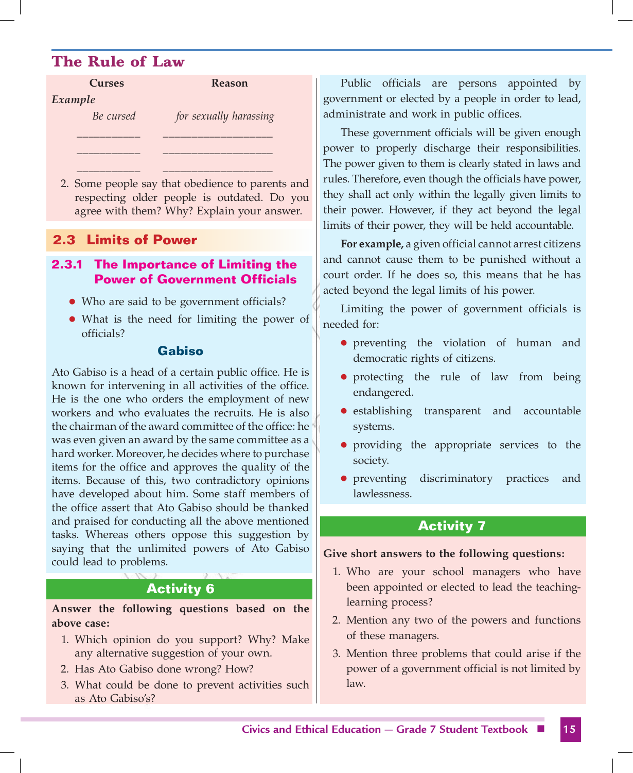| <b>Curses</b> | <b>Reason</b>          |  |  |
|---------------|------------------------|--|--|
| Example       |                        |  |  |
| Be cursed     | for sexually harassing |  |  |
|               |                        |  |  |
|               |                        |  |  |

2. Some people say that obedience to parents and respecting older people is outdated. Do you agree with them? Why? Explain your answer.

\_\_\_\_\_\_\_\_\_\_\_ \_\_\_\_\_\_\_\_\_\_\_\_\_\_\_\_\_\_\_

## **2.3 Limits of Power**

#### **2.3.1 The Importance of Limiting the Power of Government Officials**

- Who are said to be government officials?
- What is the need for limiting the power of officials?

#### **Gabiso**

Ato Gabiso is a head of a certain public office. He is known for intervening in all activities of the office. He is the one who orders the employment of new workers and who evaluates the recruits. He is also the chairman of the award committee of the office: he was even given an award by the same committee as a hard worker. Moreover, he decides where to purchase items for the office and approves the quality of the items. Because of this, two contradictory opinions have developed about him. Some staff members of the office assert that Ato Gabiso should be thanked and praised for conducting all the above mentioned tasks. Whereas others oppose this suggestion by saying that the unlimited powers of Ato Gabiso could lead to problems.

# **Activity 6**

**Answer the following questions based on the above case:**

- 1. Which opinion do you support? Why? Make any alternative suggestion of your own.
- 2. Has Ato Gabiso done wrong? How?
- 3. What could be done to prevent activities such as Ato Gabiso's?

Public officials are persons appointed by government or elected by a people in order to lead, administrate and work in public offices.

These government officials will be given enough power to properly discharge their responsibilities. The power given to them is clearly stated in laws and rules. Therefore, even though the officials have power, they shall act only within the legally given limits to their power. However, if they act beyond the legal limits of their power, they will be held accountable.

**For example,** a given official cannot arrest citizens and cannot cause them to be punished without a court order. If he does so, this means that he has acted beyond the legal limits of his power.

Limiting the power of government officials is needed for:

- **•** preventing the violation of human and democratic rights of citizens.
- protecting the rule of law from being endangered.
- establishing transparent and accountable systems.
- providing the appropriate services to the society.
- **•** preventing discriminatory practices and lawlessness.

# **Activity 7**

#### **Give short answers to the following questions:**

- 1. Who are your school managers who have been appointed or elected to lead the teachinglearning process?
- 2. Mention any two of the powers and functions of these managers.
- 3. Mention three problems that could arise if the power of a government official is not limited by law.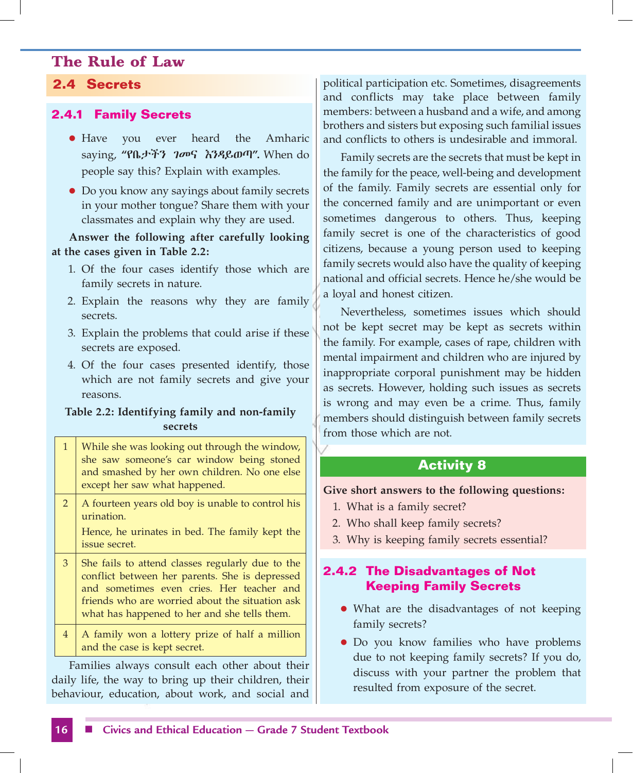## **2.4 Secrets**

## **2.4.1 Family Secrets**

- Have you ever heard the Amharic saying, **"**የቤታችን ገመና እንዳይወጣ**".** When do people say this? Explain with examples.
- Do you know any sayings about family secrets in your mother tongue? Share them with your classmates and explain why they are used.

#### **Answer the following after carefully looking at the cases given in Table 2.2:**

- 1. Of the four cases identify those which are family secrets in nature.
- 2. Explain the reasons why they are family secrets.
- 3. Explain the problems that could arise if these secrets are exposed.
- 4. Of the four cases presented identify, those which are not family secrets and give your reasons.

#### **Table 2.2: Identifying family and non-family secrets**

| $\mathbf{1}$   | While she was looking out through the window,<br>she saw someone's car window being stoned<br>and smashed by her own children. No one else<br>except her saw what happened.                                                                        |
|----------------|----------------------------------------------------------------------------------------------------------------------------------------------------------------------------------------------------------------------------------------------------|
| $2^{\circ}$    | A fourteen years old boy is unable to control his<br>urination.<br>Hence, he urinates in bed. The family kept the<br>issue secret.                                                                                                                 |
| $\mathbf{3}$   | She fails to attend classes regularly due to the<br>conflict between her parents. She is depressed<br>and sometimes even cries. Her teacher and<br>friends who are worried about the situation ask<br>what has happened to her and she tells them. |
| $\overline{4}$ | A family won a lottery prize of half a million<br>and the case is kept secret.                                                                                                                                                                     |

Families always consult each other about their daily life, the way to bring up their children, their behaviour, education, about work, and social and

political participation etc. Sometimes, disagreements and conflicts may take place between family members: between a husband and a wife, and among brothers and sisters but exposing such familial issues and conflicts to others is undesirable and immoral.

Family secrets are the secrets that must be kept in the family for the peace, well-being and development of the family. Family secrets are essential only for the concerned family and are unimportant or even sometimes dangerous to others. Thus, keeping family secret is one of the characteristics of good citizens, because a young person used to keeping family secrets would also have the quality of keeping national and official secrets. Hence he/she would be a loyal and honest citizen.

Nevertheless, sometimes issues which should not be kept secret may be kept as secrets within the family. For example, cases of rape, children with mental impairment and children who are injured by inappropriate corporal punishment may be hidden as secrets. However, holding such issues as secrets is wrong and may even be a crime. Thus, family members should distinguish between family secrets from those which are not.

## **Activity 8**

#### **Give short answers to the following questions:**

- 1. What is a family secret?
- 2. Who shall keep family secrets?
- 3. Why is keeping family secrets essential?

# **2.4.2 The Disadvantages of Not Keeping Family Secrets**

- What are the disadvantages of not keeping family secrets?
- Do you know families who have problems due to not keeping family secrets? If you do, discuss with your partner the problem that resulted from exposure of the secret.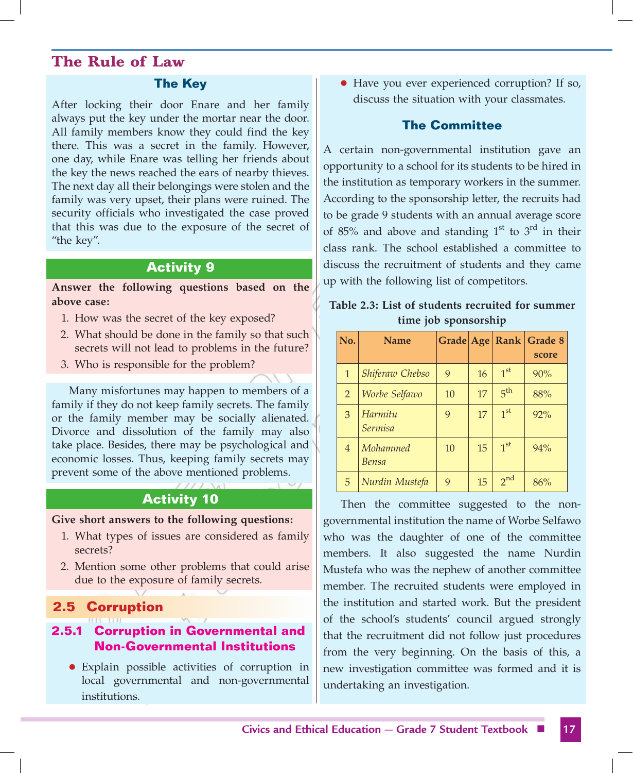#### **The Key**

After locking their door Enare and her family always put the key under the mortar near the door. All family members know they could find the key there. This was a secret in the family. However, one day, while Enare was telling her friends about the key the news reached the ears of nearby thieves. The next day all their belongings were stolen and the family was very upset, their plans were ruined. The security officials who investigated the case proved that this was due to the exposure of the secret of "the key".

#### **Activity 9**

**Answer the following questions based on the above case:**

- 1. How was the secret of the key exposed?
- 2. What should be done in the family so that such secrets will not lead to problems in the future?
- 3. Who is responsible for the problem?

Many misfortunes may happen to members of a family if they do not keep family secrets. The family or the family member may be socially alienated. Divorce and dissolution of the family may also take place. Besides, there may be psychological and economic losses. Thus, keeping family secrets may prevent some of the above mentioned problems.

#### **Activity 10**

#### **Give short answers to the following questions:**

- 1. What types of issues are considered as family secrets?
- 2. Mention some other problems that could arise due to the exposure of family secrets.

## **2.5 Corruption**

#### **2.5.1 Corruption in Governmental and Non-Governmental Institutions**

• Explain possible activities of corruption in local governmental and non-governmental institutions.

• Have you ever experienced corruption? If so, discuss the situation with your classmates.

#### **The Committee**

A certain non-governmental institution gave an opportunity to a school for its students to be hired in the institution as temporary workers in the summer. According to the sponsorship letter, the recruits had to be grade 9 students with an annual average score of 85% and above and standing  $1<sup>st</sup>$  to  $3<sup>rd</sup>$  in their class rank. The school established a committee to discuss the recruitment of students and they came up with the following list of competitors.

**Table 2.3: List of students recruited for summer time job sponsorship**

| No.            | <b>Name</b>               |    |    |                 | Grade Age Rank Grade 8 |
|----------------|---------------------------|----|----|-----------------|------------------------|
|                |                           |    |    |                 | score                  |
| 1              | Shiferaw Chebso           | 9  | 16 | 1 <sup>st</sup> | 90%                    |
| $\overline{2}$ | Worbe Selfawo             | 10 | 17 | 5 <sup>th</sup> | 88%                    |
| 3              | Harmitu<br><b>Sermisa</b> | 9  | 17 | 1 <sup>st</sup> | 92%                    |
| 4              | Mohammed<br><b>Bensa</b>  | 10 | 15 | 1 <sup>st</sup> | 94%                    |
| 5              | Nurdin Mustefa            | 9  | 15 | $2^{nd}$        | 86%                    |

Then the committee suggested to the nongovernmental institution the name of Worbe Selfawo who was the daughter of one of the committee members. It also suggested the name Nurdin Mustefa who was the nephew of another committee member. The recruited students were employed in the institution and started work. But the president of the school's students' council argued strongly that the recruitment did not follow just procedures from the very beginning. On the basis of this, a new investigation committee was formed and it is undertaking an investigation.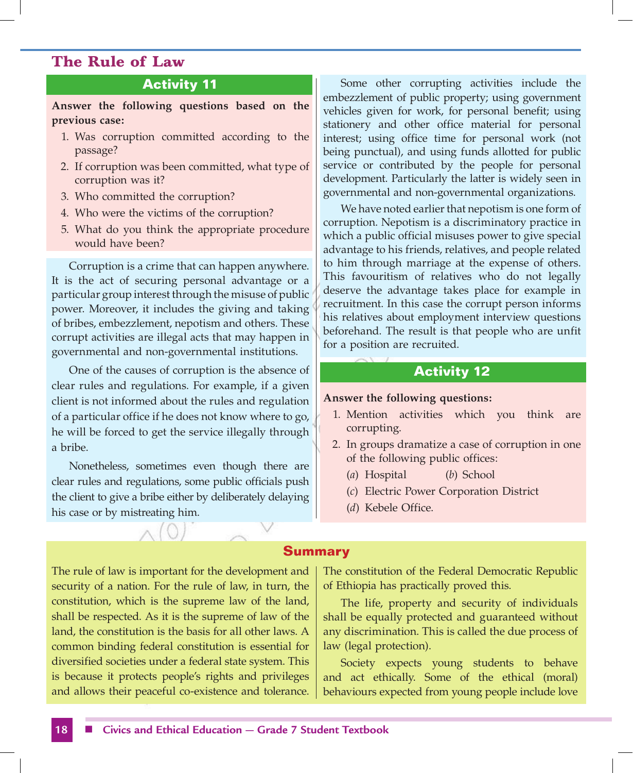## **Activity 11**

**Answer the following questions based on the previous case:**

- 1. Was corruption committed according to the passage?
- 2. If corruption was been committed, what type of corruption was it?
- 3. Who committed the corruption?
- 4. Who were the victims of the corruption?
- 5. What do you think the appropriate procedure would have been?

Corruption is a crime that can happen anywhere. It is the act of securing personal advantage or a particular group interest through the misuse of public power. Moreover, it includes the giving and taking of bribes, embezzlement, nepotism and others. These corrupt activities are illegal acts that may happen in governmental and non-governmental institutions.

One of the causes of corruption is the absence of clear rules and regulations. For example, if a given client is not informed about the rules and regulation of a particular office if he does not know where to go, he will be forced to get the service illegally through a bribe.

Nonetheless, sometimes even though there are clear rules and regulations, some public officials push the client to give a bribe either by deliberately delaying his case or by mistreating him.

Some other corrupting activities include the embezzlement of public property; using government vehicles given for work, for personal benefit; using stationery and other office material for personal interest; using office time for personal work (not being punctual), and using funds allotted for public service or contributed by the people for personal development. Particularly the latter is widely seen in governmental and non-governmental organizations.

We have noted earlier that nepotism is one form of corruption. Nepotism is a discriminatory practice in which a public official misuses power to give special advantage to his friends, relatives, and people related to him through marriage at the expense of others. This favouritism of relatives who do not legally deserve the advantage takes place for example in recruitment. In this case the corrupt person informs his relatives about employment interview questions beforehand. The result is that people who are unfit for a position are recruited.

#### **Activity 12**

#### **Answer the following questions:**

- 1. Mention activities which you think are corrupting.
- 2. In groups dramatize a case of corruption in one of the following public offices:
	- (*a*) Hospital (*b*) School
	- (*c*) Electric Power Corporation District
	- (*d*) Kebele Office.

#### **Summary**

The rule of law is important for the development and security of a nation. For the rule of law, in turn, the constitution, which is the supreme law of the land, shall be respected. As it is the supreme of law of the land, the constitution is the basis for all other laws. A common binding federal constitution is essential for diversified societies under a federal state system. This is because it protects people's rights and privileges and allows their peaceful co-existence and tolerance. The constitution of the Federal Democratic Republic of Ethiopia has practically proved this.

The life, property and security of individuals shall be equally protected and guaranteed without any discrimination. This is called the due process of law (legal protection).

Society expects young students to behave and act ethically. Some of the ethical (moral) behaviours expected from young people include love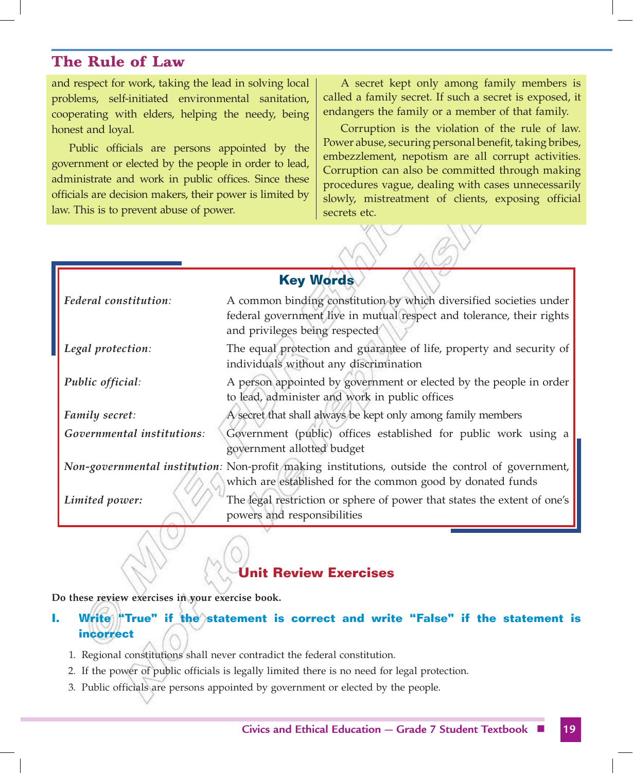and respect for work, taking the lead in solving local problems, self-initiated environmental sanitation, cooperating with elders, helping the needy, being honest and loyal.

Public officials are persons appointed by the government or elected by the people in order to lead, administrate and work in public offices. Since these officials are decision makers, their power is limited by law. This is to prevent abuse of power.

A secret kept only among family members is called a family secret. If such a secret is exposed, it endangers the family or a member of that family.

Corruption is the violation of the rule of law. Power abuse, securing personal benefit, taking bribes, embezzlement, nepotism are all corrupt activities. Corruption can also be committed through making procedures vague, dealing with cases unnecessarily slowly, mistreatment of clients, exposing official secrets etc.

| <b>Key Words</b>           |                                                                                                                                                                |  |  |
|----------------------------|----------------------------------------------------------------------------------------------------------------------------------------------------------------|--|--|
| Federal constitution:      | A common binding constitution by which diversified societies under                                                                                             |  |  |
|                            | federal government live in mutual respect and tolerance, their rights<br>and privileges being respected                                                        |  |  |
| Legal protection:          | The equal protection and guarantee of life, property and security of<br>individuals without any discrimination                                                 |  |  |
| Public official:           | A person appointed by government or elected by the people in order<br>to lead, administer and work in public offices                                           |  |  |
| <b>Family secret:</b>      | A secret that shall always be kept only among family members                                                                                                   |  |  |
| Governmental institutions: | Government (public) offices established for public work using a<br>government allotted budget                                                                  |  |  |
|                            | Non-governmental institution: Non-profit making institutions, outside the control of government,<br>which are established for the common good by donated funds |  |  |
| Limited power:             | The legal restriction or sphere of power that states the extent of one's<br>powers and responsibilities                                                        |  |  |

# **Unit Review Exercises**

**Do these review exercises in your exercise book.**

**I.** Write "True" if the statement is correct and write "False" if the statement is **incorrect**

- 1. Regional constitutions shall never contradict the federal constitution.
- 2. If the power of public officials is legally limited there is no need for legal protection.
- 3. Public officials are persons appointed by government or elected by the people.